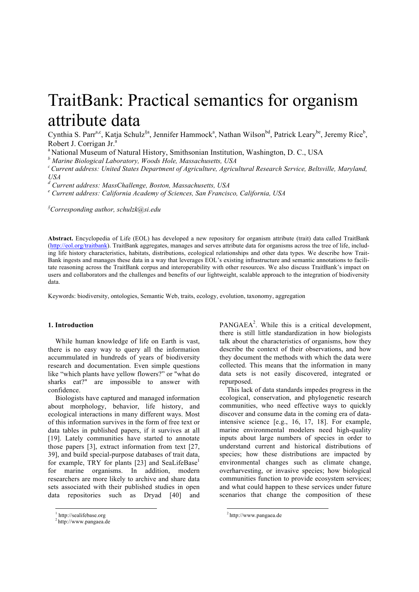# TraitBank: Practical semantics for organism attribute data

Cynthia S. Parr<sup>a,c</sup>, Katja Schulz<sup>§a</sup>, Jennifer Hammock<sup>a</sup>, Nathan Wilson<sup>bd</sup>, Patrick Leary<sup>be</sup>, Jeremy Rice<sup>b</sup>, Robert J. Corrigan Jr.<sup>a</sup>

 $^{\rm a}$  National Museum of Natural History, Smithsonian Institution, Washington, D. C., USA  $^{\rm b}$  Marine Biological Laboratory, Woods Hole, Massachusetts, USA

*<sup>b</sup> Marine Biological Laboratory, Woods Hole, Massachusetts, USA c Current address: United States Department of Agriculture, Agricultural Research Service, Beltsville, Maryland, USA*

*<sup>d</sup> Current address: MassChallenge, Boston, Massachusetts, USA*

*<sup>e</sup> Current address: California Academy of Sciences, San Francisco, California, USA*

*§ Corresponding author, schulzk@si.edu*

**Abstract.** Encyclopedia of Life (EOL) has developed a new repository for organism attribute (trait) data called TraitBank (http://eol.org/traitbank). TraitBank aggregates, manages and serves attribute data for organisms across the tree of life, including life history characteristics, habitats, distributions, ecological relationships and other data types. We describe how Trait-Bank ingests and manages these data in a way that leverages EOL's existing infrastructure and semantic annotations to facilitate reasoning across the TraitBank corpus and interoperability with other resources. We also discuss TraitBank's impact on users and collaborators and the challenges and benefits of our lightweight, scalable approach to the integration of biodiversity data.

Keywords: biodiversity, ontologies, Semantic Web, traits, ecology, evolution, taxonomy, aggregation

#### **1. Introduction**

While human knowledge of life on Earth is vast, there is no easy way to query all the information accummulated in hundreds of years of biodiversity research and documentation. Even simple questions like "which plants have yellow flowers?" or "what do sharks eat?" are impossible to answer with confidence.

Biologists have captured and managed information about morphology, behavior, life history, and ecological interactions in many different ways. Most of this information survives in the form of free text or data tables in published papers, if it survives at all [19]. Lately communities have started to annotate those papers [3], extract information from text [27, 39], and build special-purpose databases of trait data, for example, TRY for plants [23] and SeaLifeBase<sup>1</sup> for marine organisms. In addition, modern researchers are more likely to archive and share data sets associated with their published studies in open data repositories such as Dryad [40] and

 $PANGAEA<sup>2</sup>$ . While this is a critical development, there is still little standardization in how biologists talk about the characteristics of organisms, how they describe the context of their observations, and how they document the methods with which the data were collected. This means that the information in many data sets is not easily discovered, integrated or repurposed.

This lack of data standards impedes progress in the ecological, conservation, and phylogenetic research communities, who need effective ways to quickly discover and consume data in the coming era of dataintensive science [e.g., 16, 17, 18]. For example, marine environmental modelers need high-quality inputs about large numbers of species in order to understand current and historical distributions of species; how these distributions are impacted by environmental changes such as climate change, overharvesting, or invasive species; how biological communities function to provide ecosystem services; and what could happen to these services under future scenarios that change the composition of these

 <sup>1</sup> http://sealifebase.org

<sup>2</sup> http://www.pangaea.de

 <sup>2</sup> http://www.pangaea.de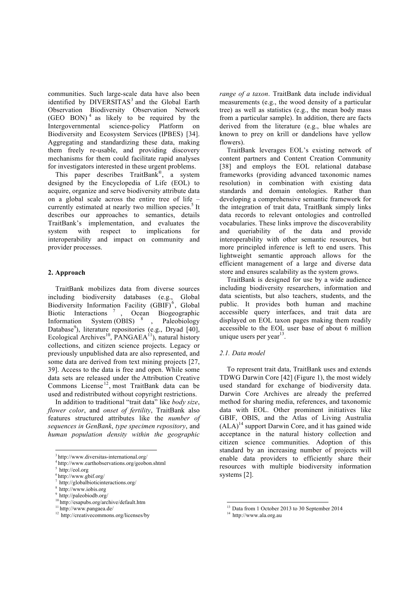communities. Such large-scale data have also been identified by DIVERSITAS<sup>3</sup> and the Global Earth Observation Biodiversity Observation Network (GEO BON)<sup> $4$ </sup> as likely to be required by the Intergovernmental science-policy Platform on Biodiversity and Ecosystem Services (IPBES) [34]. Aggregating and standardizing these data, making them freely re-usable, and providing discovery mechanisms for them could facilitate rapid analyses for investigators interested in these urgent problems.

This paper describes TraitBank®, a system designed by the Encyclopedia of Life (EOL) to acquire, organize and serve biodiversity attribute data on a global scale across the entire tree of life – currently estimated at nearly two million species.<sup>5</sup> It describes our approaches to semantics, details TraitBank's implementation, and evaluates the system with respect to implications for interoperability and impact on community and provider processes.

## **2. Approach**

TraitBank mobilizes data from diverse sources including biodiversity databases (e.g., Global Biodiversity Information Facility (GBIF)<sup>6</sup>, Global Biotic Interactions <sup>7</sup> , Ocean Biogeographic Information System  $(OBIS)$ <sup>8</sup>, Paleobiology Database<sup>9</sup>), literature repositories (e.g., Dryad [40], Ecological Archives<sup>10</sup>, PANGAEA<sup>11</sup>), natural history collections, and citizen science projects. Legacy or previously unpublished data are also represented, and some data are derived from text mining projects [27, 39]. Access to the data is free and open. While some data sets are released under the Attribution Creative Commons License <sup>12</sup> , most TraitBank data can be used and redistributed without copyright restrictions.

In addition to traditional "trait data" like *body size*, *flower color*, and *onset of fertility*, TraitBank also features structured attributes like the *number of sequences in GenBank*, *type specimen repository*, and *human population density within the geographic* 

- <sup>10</sup> http://esapubs.org/archive/default.htm
- <sup>11</sup> http://www.pangaea.de/

*range of a taxon*. TraitBank data include individual measurements (e.g., the wood density of a particular tree) as well as statistics (e.g., the mean body mass from a particular sample). In addition, there are facts derived from the literature (e.g., blue whales are known to prey on krill or dandelions have yellow flowers).

TraitBank leverages EOL's existing network of content partners and Content Creation Community [38] and employs the EOL relational database frameworks (providing advanced taxonomic names resolution) in combination with existing data standards and domain ontologies. Rather than developing a comprehensive semantic framework for the integration of trait data, TraitBank simply links data records to relevant ontologies and controlled vocabularies. These links improve the discoverability and queriability of the data and provide interoperability with other semantic resources, but more principled inference is left to end users. This lightweight semantic approach allows for the efficient management of a large and diverse data store and ensures scalability as the system grows.

TraitBank is designed for use by a wide audience including biodiversity researchers, information and data scientists, but also teachers, students, and the public. It provides both human and machine accessible query interfaces, and trait data are displayed on EOL taxon pages making them readily accessible to the EOL user base of about 6 million unique users per year $^{13}$ .

#### *2.1. Data model*

To represent trait data, TraitBank uses and extends TDWG Darwin Core [42] (Figure 1), the most widely used standard for exchange of biodiversity data. Darwin Core Archives are already the preferred method for sharing media, references, and taxonomic data with EOL. Other prominent initiatives like GBIF, OBIS, and the Atlas of Living Australia  $(ALA)^{14}$  support Darwin Core, and it has gained wide acceptance in the natural history collection and citizen science communities. Adoption of this standard by an increasing number of projects will enable data providers to efficiently share their resources with multiple biodiversity information systems [2].

 <sup>3</sup> http://www.diversitas-international.org/

<sup>4</sup> http://www.earthobservations.org/geobon.shtml

<sup>5</sup> http://eol.org

<sup>6</sup> http://www.gbif.org/

<sup>7</sup> http://globalbioticinteractions.org/

http://www.iobis.org

<sup>9</sup> http://paleobiodb.org/

 $12$  http://creativecommons.org/licenses/by

<sup>&</sup>lt;sup>13</sup> Data from 1 October 2013 to 30 September 2014

<sup>&</sup>lt;sup>14</sup> http://www.ala.org.au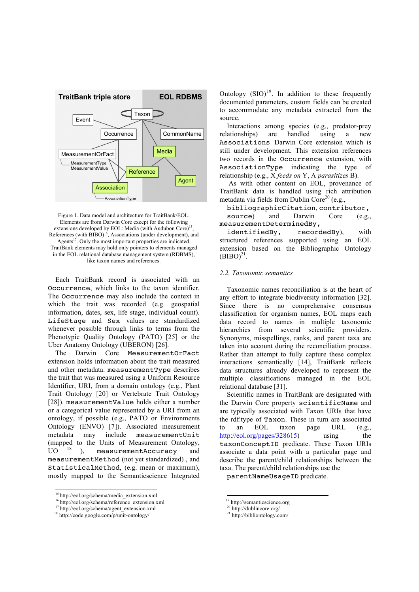

Figure 1. Data model and architecture for TraitBank/EOL. Elements are from Darwin Core except for the following extensions developed by EOL: Media (with Audubon Core)<sup>15</sup>, References (with  $\overline{BIBO}^{16}$ , Associations (under development), and Agents $17$ . Only the most important properties are indicated. TraitBank elements may hold only pointers to elements managed in the EOL relational database management system (RDBMS), like taxon names and references.

Each TraitBank record is associated with an Occurrence, which links to the taxon identifier. The Occurrence may also include the context in which the trait was recorded (e.g. geospatial information, dates, sex, life stage, individual count). LifeStage and Sex values are standardized whenever possible through links to terms from the Phenotypic Quality Ontology (PATO) [25] or the Uber Anatomy Ontology (UBERON) [26].

The Darwin Core MeasurementOrFact extension holds information about the trait measured and other metadata. measurementType describes the trait that was measured using a Uniform Resource Identifier, URI, from a domain ontology (e.g., Plant Trait Ontology [20] or Vertebrate Trait Ontology [28]). measurementValue holds either a number or a categorical value represented by a URI from an ontology, if possible (e.g., PATO or Environments Ontology (ENVO) [7]). Associated measurement metadata may include measurementUnit (mapped to the Units of Measurement Ontology, UO<sup>18</sup> ), measurementAccuracy and measurementMethod (not yet standardized) , and StatisticalMethod, (e.g. mean or maximum), mostly mapped to the Semanticscience Integrated

Ontology  $(SIO)^{19}$ . In addition to these frequently documented parameters, custom fields can be created to accommodate any metadata extracted from the source.

Interactions among species (e.g., predator-prey relationships) are handled using a new Associations Darwin Core extension which is still under development. This extension references two records in the Occurrence extension, with AssociationType indicating the type of relationship (e.g., X *feeds on* Y, A *parasitizes* B).

As with other content on EOL, provenance of TraitBank data is handled using rich attribution metadata via fields from Dublin Core<sup>20</sup> (e.g.,

bibliographicCitation, contributor, source) and Darwin Core (e.g., measurementDeterminedBy,

identifiedBy, recordedBy), with structured references supported using an EOL extension based on the Bibliographic Ontology  $(BIBO)<sup>21</sup>$ .

## *2.2. Taxonomic semantics*

Taxonomic names reconciliation is at the heart of any effort to integrate biodiversity information [32]. Since there is no comprehensive consensus classification for organism names, EOL maps each data record to names in multiple taxonomic hierarchies from several scientific providers. Synonyms, misspellings, ranks, and parent taxa are taken into account during the reconciliation process. Rather than attempt to fully capture these complex interactions semantically [14], TraitBank reflects data structures already developed to represent the multiple classifications managed in the EOL relational database [31].

Scientific names in TraitBank are designated with the Darwin Core property scientificName and are typically associated with Taxon URIs that have the rdf:type of Taxon. These in turn are associated to an EOL taxon page URL (e.g., http://eol.org/pages/328615) using the taxonConceptID predicate. These Taxon URIs associate a data point with a particular page and describe the parent/child relationships between the taxa. The parent/child relationships use the

parentNameUsageID predicate.

<sup>21</sup> http://bibliontology.com/

 <sup>15</sup> http://eol.org/schema/media\_extension.xml

<sup>&</sup>lt;sup>16</sup> http://eol.org/schema/reference\_extension.xml

<sup>17</sup> http://eol.org/schema/agent\_extension.xml

<sup>&</sup>lt;sup>18</sup> http://code.google.com/p/unit-ontology/

 <sup>19</sup> http://semanticscience.org

<sup>20</sup> http://dublincore.org/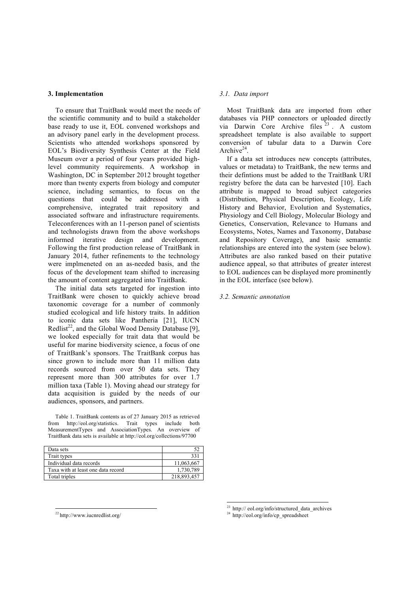## **3. Implementation**

To ensure that TraitBank would meet the needs of the scientific community and to build a stakeholder base ready to use it, EOL convened workshops and an advisory panel early in the development process. Scientists who attended workshops sponsored by EOL's Biodiversity Synthesis Center at the Field Museum over a period of four years provided highlevel community requirements. A workshop in Washington, DC in September 2012 brought together more than twenty experts from biology and computer science, including semantics, to focus on the questions that could be addressed with a comprehensive, integrated trait repository and associated software and infrastructure requirements. Teleconferences with an 11-person panel of scientists and technologists drawn from the above workshops informed iterative design and development. Following the first production release of TraitBank in January 2014, futher refinements to the technology were implmeneted on an as-needed basis, and the focus of the development team shifted to increasing the amount of content aggregated into TraitBank.

The initial data sets targeted for ingestion into TraitBank were chosen to quickly achieve broad taxonomic coverage for a number of commonly studied ecological and life history traits. In addition to iconic data sets like Pantheria [21], IUCN Redlist<sup>22</sup>, and the Global Wood Density Database [9], we looked especially for trait data that would be useful for marine biodiversity science, a focus of one of TraitBank's sponsors. The TraitBank corpus has since grown to include more than 11 million data records sourced from over 50 data sets. They represent more than 300 attributes for over 1.7 million taxa (Table 1). Moving ahead our strategy for data acquisition is guided by the needs of our audiences, sponsors, and partners.

Table 1. TraitBank contents as of 27 January 2015 as retrieved from http://eol.org/statistics. Trait types include both MeasurementTypes and AssociationTypes. An overview of TraitBank data sets is available at http://eol.org/collections/97700

| Data sets                          |             |
|------------------------------------|-------------|
| Trait types                        | 331         |
| Individual data records            | 11,063,667  |
| Taxa with at least one data record | 1,730,789   |
| Total triples                      | 218,893,457 |

#### *3.1. Data import*

Most TraitBank data are imported from other databases via PHP connectors or uploaded directly via Darwin Core Archive files<sup>23</sup>. A custom spreadsheet template is also available to support conversion of tabular data to a Darwin Core Archive $24$ .

If a data set introduces new concepts (attributes, values or metadata) to TraitBank, the new terms and their defintions must be added to the TraitBank URI registry before the data can be harvested [10]. Each attribute is mapped to broad subject categories (Distribution, Physical Description, Ecology, Life History and Behavior, Evolution and Systematics, Physiology and Cell Biology, Molecular Biology and Genetics, Conservation, Relevance to Humans and Ecosystems, Notes, Names and Taxonomy, Database and Repository Coverage), and basic semantic relationships are entered into the system (see below). Attributes are also ranked based on their putative audience appeal, so that attributes of greater interest to EOL audiences can be displayed more prominently in the EOL interface (see below).

## *3.2. Semantic annotation*

 <sup>23</sup> http:// eol.org/info/structured\_data\_archives

<sup>&</sup>lt;sup>24</sup> http://eol.org/info/cp\_spreadsheet

 <sup>22</sup> http://www.iucnredlist.org/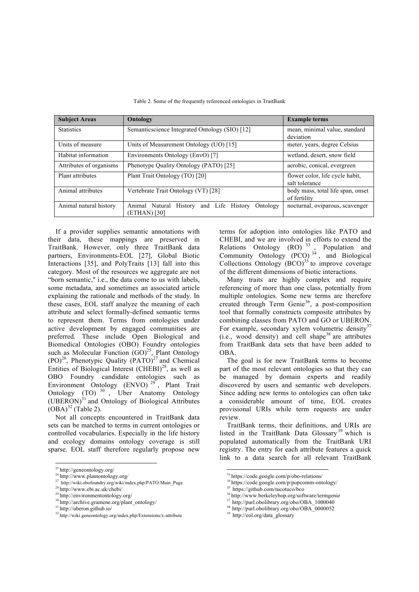| <b>Subject Areas</b>    | Ontology                                                            | <b>Example terms</b>                              |
|-------------------------|---------------------------------------------------------------------|---------------------------------------------------|
| <b>Statistics</b>       | Semanticscience Integrated Ontology (SIO) [12]                      | mean, minimal value, standard<br>deviation        |
| Units of measure        | Units of Measurement Ontology (UO) [15]                             | meter, years, degree Celsius                      |
| Habitat information     | Environments Ontology (EnvO) [7]                                    | wetland, desert, snow field                       |
| Attributes of organisms | Phenotype Quality Ontology (PATO) [25]                              | aerobic, conical, evergreen                       |
| Plant attributes        | Plant Trait Ontology (TO) [20]                                      | flower color, life cycle habit,<br>salt tolerance |
| Animal attributes       | Vertebrate Trait Ontology (VT) [28]                                 | body mass, total life span, onset<br>of fertility |
| Animal natural history  | Animal Natural History and Life History<br>Ontology<br>(ETHAN) [30] | nocturnal, oviparous, scavenger                   |

Table 2. Some of the frequently referenced ontologies in TraitBank

If a provider supplies semantic annotations with their data, these mappings are preserved in TraitBank. However, only three TraitBank data partners, Environments-EOL [27], Global Biotic Interactions [35], and PolyTraits [13] fall into this category. Most of the resources we aggregate are not "born semantic," i.e., the data come to us with labels, some metadata, and sometimes an associated article explaining the rationale and methods of the study. In these cases, EOL staff analyze the meaning of each attribute and select formally-defined semantic terms to represent them. Terms from ontologies under active development by engaged communities are preferred. These include Open Biological and Biomedical Ontologies (OBO) Foundry ontologies such as Molecular Function  $(GO)^{25}$ , Plant Ontology  $(PO)^{26}$ , Phenotypic Quality  $(PATO)^{27}$  and Chemical Entities of Biological Interest  $(CHEBI)<sup>28</sup>$ , as well as OBO Foundry candidate ontologies such as Environment Ontology (ENVO)<sup>29</sup>, Plant Trait Ontology (TO)<sup>30</sup>, Uber Anatomy Ontology (UBERON) <sup>31</sup> and Ontology of Biological Attributes  $(OBA)^{32}$  (Table 2).

Not all concepts encountered in TraitBank data sets can be matched to terms in current ontologies or controlled vocabularies. Especially in the life history and ecology domains ontology coverage is still sparse. EOL staff therefore regularly propose new terms for adoption into ontologies like PATO and CHEBI, and we are involved in efforts to extend the<br>Relations Ontology  $(RO)^{33}$ , Population and Relations Ontology  $(RO)^{33}$ , Population and Community Ontology  $(PCO)^{34}$ , and Biological Collections Ontology  $(BCO)^{35}$  to improve coverage of the different dimensions of biotic interactions.

Many traits are highly complex and require referencing of more than one class, potentially from multiple ontologies. Some new terms are therefore created through Term Genie<sup>36</sup>, a post-composition tool that formally constructs composite attributes by combining classes from PATO and GO or UBERON. For example, secondary xylem volumetric density $37$  $(i.e., wood density)$  and cell shape<sup>38</sup> are attributes from TraitBank data sets that have been added to OBA.

The goal is for new TraitBank terms to become part of the most relevant ontologies so that they can be managed by domain experts and readily discovered by users and semantic web developers. Since adding new terms to ontologies can often take a considerable amount of time, EOL creates provisional URIs while term requests are under review.

TraitBank terms, their definitions, and URIs are listed in the TraitBank Data Glossary <sup>39</sup> which is populated automatically from the TraitBank URI registry. The entry for each attribute features a quick link to a data search for all relevant TraitBank

 <sup>25</sup> http://geneontology.org/

<sup>26</sup> http://www.plantontology.org/

<sup>27</sup> http://wiki.obofoundry.org/wiki/index.php/PATO:Main\_Page

<sup>28</sup> http://www.ebi.ac.uk/chebi/

<sup>&</sup>lt;sup>29</sup> http://environmentontology.org/

<sup>30</sup> http://archive.gramene.org/plant\_ontology/

<sup>31</sup> http://uberon.github.io/

<sup>&</sup>lt;sup>32</sup> http://wiki.geneontology.org/index.php/Extensions/x-attribute

 <sup>33</sup> https://code.google.com/p/obo-relations/

<sup>&</sup>lt;sup>34</sup> https://code.google.com/p/popcomm-ontology/

<sup>&</sup>lt;sup>35</sup> https://github.com/tucotuco/bco

<sup>36</sup> http://www.berkeleybop.org/software/termgenie

<sup>37</sup> http://purl.obolibrary.org/obo/OBA\_1000040

<sup>38</sup> http://purl.obolibrary.org/obo/OBA\_0000052

<sup>39</sup> http://eol.org/data\_glossary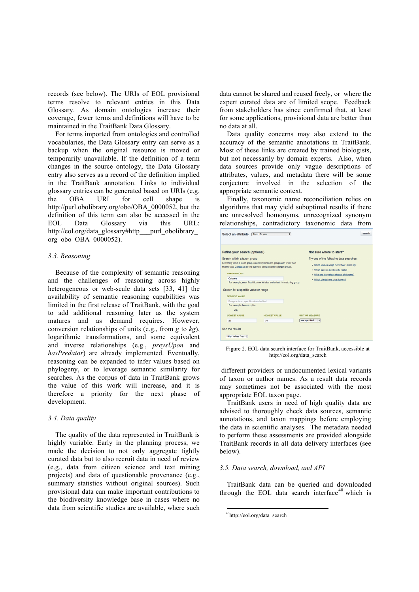records (see below). The URIs of EOL provisional terms resolve to relevant entries in this Data Glossary. As domain ontologies increase their coverage, fewer terms and definitions will have to be maintained in the TraitBank Data Glossary.

For terms imported from ontologies and controlled vocabularies, the Data Glossary entry can serve as a backup when the original resource is moved or temporarily unavailable. If the definition of a term changes in the source ontology, the Data Glossary entry also serves as a record of the definition implied in the TraitBank annotation. Links to individual glossary entries can be generated based on URIs (e.g. the OBA URI for cell shape is http://purl.obolibrary.org/obo/OBA\_0000052, but the definition of this term can also be accessed in the EOL Data Glossary via this URL: http://eol.org/data\_glossary#http\_\_\_purl\_obolibrary\_ org\_obo\_OBA\_0000052).

#### *3.3. Reasoning*

Because of the complexity of semantic reasoning and the challenges of reasoning across highly heterogeneous or web-scale data sets [33, 41] the availability of semantic reasoning capabilities was limited in the first release of TraitBank, with the goal to add additional reasoning later as the system matures and as demand requires. However, conversion relationships of units (e.g., from *g* to *kg*), logarithmic transformations, and some equivalent and inverse relationships (e.g., *preysUpon* and *hasPredator*) are already implemented. Eventually, reasoning can be expanded to infer values based on phylogeny, or to leverage semantic similarity for searches. As the corpus of data in TraitBank grows the value of this work will increase, and it is therefore a priority for the next phase of development.

## *3.4. Data quality*

The quality of the data represented in TraitBank is highly variable. Early in the planning process, we made the decision to not only aggregate tightly curated data but to also recruit data in need of review (e.g., data from citizen science and text mining projects) and data of questionable provenance (e.g., summary statistics without original sources). Such provisional data can make important contributions to the biodiversity knowledge base in cases where no data from scientific studies are available, where such data cannot be shared and reused freely, or where the expert curated data are of limited scope. Feedback from stakeholders has since confirmed that, at least for some applications, provisional data are better than no data at all.

Data quality concerns may also extend to the accuracy of the semantic annotations in TraitBank. Most of these links are created by trained biologists, but not necessarily by domain experts. Also, when data sources provide only vague descriptions of attributes, values, and metadata there will be some conjecture involved in the selection of the appropriate semantic context.

Finally, taxonomic name reconciliation relies on algorithms that may yield suboptimal results if there are unresolved homonyms, unrecognized synonym relationships, contradictory taxonomic data from

| Refine your search (optional)                   |                                                                               | Not sure where to start?                  |  |
|-------------------------------------------------|-------------------------------------------------------------------------------|-------------------------------------------|--|
| Search within a taxon group                     |                                                                               | Try one of the following data searches:   |  |
|                                                 | Searching within a taxon group is currently limited to groups with fewer than | · Which whales weigh more than 10,000 kg? |  |
|                                                 | 60,000 taxa. Contact us to find out more about searching larger groups.       | • Which species build cavity nests?       |  |
|                                                 |                                                                               |                                           |  |
| <b>TAXON GROUP</b>                              |                                                                               | • What are the various shapes of diatoms? |  |
| Cetacea<br>Search for a specific value or range | For example, enter Trochilidae or Whales and select the matching group.       | · Which plants have blue flowers?         |  |
| <b>SPECIFIC VALUE</b>                           |                                                                               |                                           |  |
| Range entered, specific value disabled          |                                                                               |                                           |  |
| For example, heterotrophic.                     |                                                                               |                                           |  |
| OR                                              |                                                                               |                                           |  |
| <b>LOWEST VALUE</b>                             | <b>HIGHEST VALUE</b>                                                          | <b>UNIT OF MEASURE</b>                    |  |

Figure 2. EOL data search interface for TraitBank, accessible at http://eol.org/data\_search

different providers or undocumented lexical variants of taxon or author names. As a result data records may sometimes not be associated with the most appropriate EOL taxon page.

TraitBank users in need of high quality data are advised to thoroughly check data sources, semantic annotations, and taxon mappings before employing the data in scientific analyses. The metadata needed to perform these assessments are provided alongside TraitBank records in all data delivery interfaces (see below).

## *3.5. Data search, download, and API*

TraitBank data can be queried and downloaded through the EOL data search interface<sup>40</sup> which is

 <sup>40</sup>http://eol.org/data\_search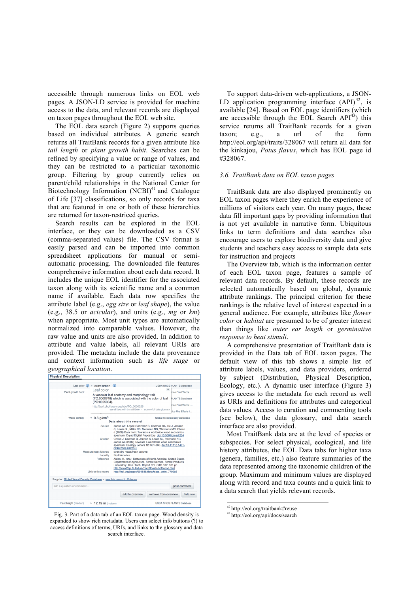accessible through numerous links on EOL web pages. A JSON-LD service is provided for machine access to the data, and relevant records are displayed on taxon pages throughout the EOL web site.

The EOL data search (Figure 2) supports queries based on individual attributes. A generic search returns all TraitBank records for a given attribute like *tail length* or *plant growth habit*. Searches can be refined by specifying a value or range of values, and they can be restricted to a particular taxonomic group. Filtering by group currently relies on parent/child relationships in the National Center for Biotechnology Information (NCBI)<sup>41</sup> and Catalogue of Life [37] classifications, so only records for taxa that are featured in one or both of these hierarchies are returned for taxon-restriced queries.

Search results can be explored in the EOL interface, or they can be downloaded as a CSV (comma-separated values) file. The CSV format is easily parsed and can be imported into common spreadsheet applications for manual or semiautomatic processing. The downloaded file features comprehensive information about each data record. It includes the unique EOL identifier for the associated taxon along with its scientific name and a common name if available. Each data row specifies the attribute label (e.g., *egg size* or *leaf shape*), the value (e.g., 38.5 or *acicular*), and units (e.g., *mg* or *km*) when appropriate. Most unit types are automatically normalized into comparable values. However, the raw value and units are also provided. In addition to attribute and value labels, all relevant URIs are provided. The metadata include the data provenance and context information such as *life stage* or *geographical location*.



expanded to show rich metadata. Users can select info buttons (?) to access definitions of terms, URIs, and links to the glossary and data search interface.

To support data-driven web-applications, a JSON-LD application programming interface  $(API)^{42}$ , is available [24]. Based on EOL page identifiers (which are accessible through the EOL Search  $API<sup>43</sup>$  this service returns all TraitBank records for a given taxon; e.g., a url of the form http://eol.org/api/traits/328067 will return all data for the kinkajou, *Potus flavus*, which has EOL page id #328067.

#### *3.6. TraitBank data on EOL taxon pages*

TraitBank data are also displayed prominently on EOL taxon pages where they enrich the experience of millions of visitors each year. On many pages, these data fill important gaps by providing information that is not yet available in narrative form. Ubiquitous links to term definitions and data searches also encourage users to explore biodiversity data and give students and teachers easy access to sample data sets for instruction and projects

The Overview tab, which is the information center of each EOL taxon page, features a sample of relevant data records. By default, these records are selected automatically based on global, dynamic attribute rankings. The principal criterion for these rankings is the relative level of interest expected in a general audience. For example, attributes like *flower color* or *habitat* are presumed to be of greater interest than things like *outer ear length* or *germinative response to heat stimuli*.

A comprehensive presentation of TraitBank data is provided in the Data tab of EOL taxon pages. The default view of this tab shows a simple list of attribute labels, values, and data providers, ordered by subject (Distribution, Physical Description, Ecology, etc.). A dynamic user interface (Figure 3) gives access to the metadata for each record as well as URIs and definitions for attributes and categorical data values. Access to curation and commenting tools (see below), the data glossary, and data search interface are also provided.

Most TraitBank data are at the level of species or subspecies. For select physical, ecological, and life history attributes, the EOL Data tabs for higher taxa (genera, families, etc.) also feature summaries of the data represented among the taxonomic children of the group. Maximum and minimum values are displayed along with record and taxa counts and a quick link to a data search that yields relevant records.

 $^{42}$ http://eol.org/traitbank#reuse $^{43}$ http://eol.org/api/docs/search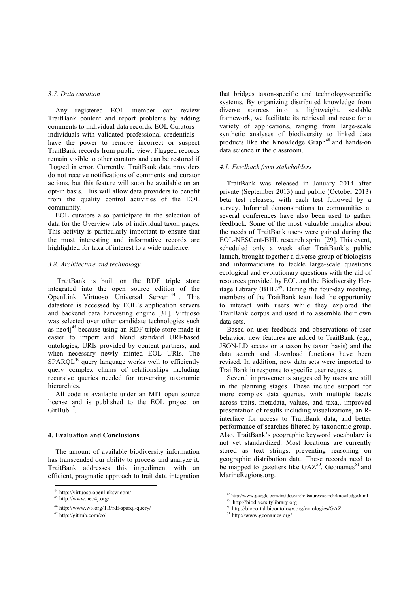#### *3.7. Data curation*

Any registered EOL member can review TraitBank content and report problems by adding comments to individual data records. EOL Curators – individuals with validated professional credentials have the power to remove incorrect or suspect TraitBank records from public view. Flagged records remain visible to other curators and can be restored if flagged in error. Currently, TraitBank data providers do not receive notifications of comments and curator actions, but this feature will soon be available on an opt-in basis. This will allow data providers to benefit from the quality control activities of the EOL community.

EOL curators also participate in the selection of data for the Overview tabs of individual taxon pages. This activity is particularly important to ensure that the most interesting and informative records are highlighted for taxa of interest to a wide audience.

## *3.8. Architecture and technology*

TraitBank is built on the RDF triple store integrated into the open source edition of the OpenLink Virtuoso Universal Server <sup>44</sup> . This datastore is accessed by EOL's application servers and backend data harvesting engine [31]. Virtuoso was selected over other candidate technologies such as neo $4i^{45}$  because using an RDF triple store made it easier to import and blend standard URI-based ontologies, URIs provided by content partners, and when necessary newly minted EOL URIs. The  $SPAROL<sup>46</sup>$  query language works well to efficiently query complex chains of relationships including recursive queries needed for traversing taxonomic hierarchies.

All code is available under an MIT open source license and is published to the EOL project on GitHub  $47$ .

## **4. Evaluation and Conclusions**

The amount of available biodiversity information has transcended our ability to process and analyze it. TraitBank addresses this impediment with an efficient, pragmatic approach to trait data integration that bridges taxon-specific and technology-specific systems. By organizing distributed knowledge from diverse sources into a lightweight, scalable framework, we facilitate its retrieval and reuse for a variety of applications, ranging from large-scale synthetic analyses of biodiversity to linked data products like the Knowledge Graph<sup>48</sup> and hands-on data science in the classroom.

#### *4.1. Feedback from stakeholders*

TraitBank was released in January 2014 after private (September 2013) and public (October 2013) beta test releases, with each test followed by a survey. Informal demonstrations to communities at several conferences have also been used to gather feedback. Some of the most valuable insights about the needs of TraitBank users were gained during the EOL-NESCent-BHL research sprint [29]. This event, scheduled only a week after TraitBank's public launch, brought together a diverse group of biologists and informaticians to tackle large-scale questions ecological and evolutionary questions with the aid of resources provided by EOL and the Biodiversity Heritage Library  $(BHL)^{49}$ . During the four-day meeting, members of the TraitBank team had the opportunity to interact with users while they explored the TraitBank corpus and used it to assemble their own data sets.

Based on user feedback and observations of user behavior, new features are added to TraitBank (e.g., JSON-LD access on a taxon by taxon basis) and the data search and download functions have been revised. In addition, new data sets were imported to TraitBank in response to specific user requests.

Several improvements suggested by users are still in the planning stages. These include support for more complex data queries, with multiple facets across traits, metadata, values, and taxa,, improved presentation of results including visualizations, an Rinterface for access to TraitBank data, and better performance of searches filtered by taxonomic group. Also, TraitBank's geographic keyword vocabulary is not yet standardized. Most locations are currently stored as text strings, preventing reasoning on geographic distribution data. These records need to be mapped to gazetters like  $GAZ^{50}$ , Geonames<sup>51</sup> and MarineRegions.org.

 <sup>44</sup> http://virtuoso.openlinksw.com/

 $45$  http://www.neo $4$ j.org/

<sup>46</sup> http://www.w3.org/TR/rdf-sparql-query/

<sup>47</sup> http://github.com/eol

 <sup>48</sup> http://www.google.com/insidesearch/features/search/knowledge.html

http://biodiversitylibrary.org

<sup>50</sup> http://bioportal.bioontology.org/ontologies/GAZ

<sup>51</sup> http://www.geonames.org/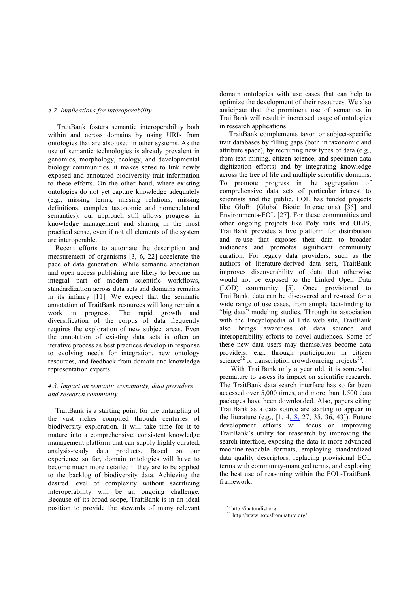#### *4.2. Implications for interoperability*

TraitBank fosters semantic interoperability both within and across domains by using URIs from ontologies that are also used in other systems. As the use of semantic technologies is already prevalent in genomics, morphology, ecology, and developmental biology communities, it makes sense to link newly exposed and annotated biodiversity trait information to these efforts. On the other hand, where existing ontologies do not yet capture knowledge adequately (e.g., missing terms, missing relations, missing definitions, complex taxonomic and nomenclatural semantics), our approach still allows progress in knowledge management and sharing in the most practical sense, even if not all elements of the system are interoperable.

Recent efforts to automate the description and measurement of organisms [3, 6, 22] accelerate the pace of data generation. While semantic annotation and open access publishing are likely to become an integral part of modern scientific workflows, standardization across data sets and domains remains in its infancy [11]. We expect that the semantic annotation of TraitBank resources will long remain a work in progress. The rapid growth and diversification of the corpus of data frequently requires the exploration of new subject areas. Even the annotation of existing data sets is often an iterative process as best practices develop in response to evolving needs for integration, new ontology resources, and feedback from domain and knowledge representation experts.

## *4.3. Impact on semantic community, data providers and research community*

TraitBank is a starting point for the untangling of the vast riches compiled through centuries of biodiversity exploration. It will take time for it to mature into a comprehensive, consistent knowledge management platform that can supply highly curated, analysis-ready data products. Based on our experience so far, domain ontologies will have to become much more detailed if they are to be applied to the backlog of biodiversity data. Achieving the desired level of complexity without sacrificing interoperability will be an ongoing challenge. Because of its broad scope, TraitBank is in an ideal position to provide the stewards of many relevant domain ontologies with use cases that can help to optimize the development of their resources. We also anticipate that the prominent use of semantics in TraitBank will result in increased usage of ontologies in research applications.

TraitBank complements taxon or subject-specific trait databases by filling gaps (both in taxonomic and attribute space), by recruiting new types of data (e.g., from text-mining, citizen-science, and specimen data digitization efforts) and by integrating knowledge across the tree of life and multiple scientific domains. To promote progress in the aggregation of comprehensive data sets of particular interest to scientists and the public, EOL has funded projects like GloBi (Global Biotic Interactions) [35] and Environments-EOL [27]. For these communities and other ongoing projects like PolyTraits and OBIS, TraitBank provides a live platform for distribution and re-use that exposes their data to broader audiences and promotes significant community curation. For legacy data providers, such as the authors of literature-derived data sets, TraitBank improves discoverability of data that otherwise would not be exposed to the Linked Open Data (LOD) community [5]. Once provisioned to TraitBank, data can be discovered and re-used for a wide range of use cases, from simple fact-finding to "big data" modeling studies. Through its association with the Encyclopedia of Life web site, TraitBank also brings awareness of data science and interoperability efforts to novel audiences. Some of these new data users may themselves become data providers, e.g., through participation in citizen science<sup>52</sup> or transcription crowdsourcing projects<sup>53</sup>.

With TraitBank only a year old, it is somewhat premature to assess its impact on scientific research. The TraitBank data search interface has so far been accessed over 5,000 times, and more than 1,500 data packages have been downloaded. Also, papers citing TraitBank as a data source are starting to appear in the literature (e.g., [1, 4, 8, 27, 35, 36, 43]). Future development efforts will focus on improving TraitBank's utility for reasearch by improving the search interface, exposing the data in more advanced machine-readable formats, employing standardized data quality descriptors, replacing provisional EOL terms with community-managed terms, and exploring the best use of reasoning within the EOL-TraitBank framework.

 <sup>52</sup> http://inaturalist.org

<sup>&</sup>lt;sup>53</sup> http://www.notesfromnature.org/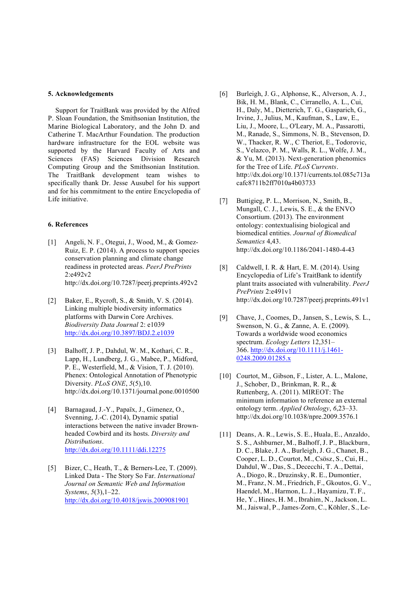#### **5. Acknowledgements**

Support for TraitBank was provided by the Alfred P. Sloan Foundation, the Smithsonian Institution, the Marine Biological Laboratory, and the John D. and Catherine T. MacArthur Foundation. The production hardware infrastructure for the EOL website was supported by the Harvard Faculty of Arts and Sciences (FAS) Sciences Division Research Computing Group and the Smithsonian Institution. The TraitBank development team wishes to specifically thank Dr. Jesse Ausubel for his support and for his commitment to the entire Encyclopedia of Life initiative.

#### **6. References**

- [1] Angeli, N. F., Otegui, J., Wood, M., & Gomez-Ruiz, E. P. (2014). A process to support species conservation planning and climate change readiness in protected areas. *PeerJ PrePrints* 2:e492v2 http://dx.doi.org/10.7287/peerj.preprints.492v2
- [2] Baker, E., Rycroft, S., & Smith, V. S. (2014). Linking multiple biodiversity informatics platforms with Darwin Core Archives. *Biodiversity Data Journal* 2: e1039 http://dx.doi.org/10.3897/BDJ.2.e1039
- [3] Balhoff, J. P., Dahdul, W. M., Kothari, C. R., Lapp, H., Lundberg, J. G., Mabee, P., Midford, P. E., Westerfield, M., & Vision, T. J. (2010). Phenex: Ontological Annotation of Phenotypic Diversity. *PLoS ONE*, *5*(5),10. http://dx.doi.org/10.1371/journal.pone.0010500
- [4] Barnagaud, J.-Y., Papaïx, J., Gimenez, O., Svenning, J.-C. (2014), Dynamic spatial interactions between the native invader Brownheaded Cowbird and its hosts. *Diversity and Distributions*. http://dx.doi.org/10.1111/ddi.12275
- [5] Bizer, C., Heath, T., & Berners-Lee, T. (2009). Linked Data - The Story So Far. *International Journal on Semantic Web and Information Systems*, *5*(3),1–22. http://dx.doi.org/10.4018/jswis.2009081901
- [6] Burleigh, J. G., Alphonse, K., Alverson, A. J., Bik, H. M., Blank, C., Cirranello, A. L., Cui, H., Daly, M., Dietterich, T. G., Gasparich, G., Irvine, J., Julius, M., Kaufman, S., Law, E., Liu, J., Moore, L., O'Leary, M. A., Passarotti, M., Ranade, S., Simmons, N. B., Stevenson, D. W., Thacker, R. W., C Theriot, E., Todorovic, S., Velazco, P. M., Walls, R. L., Wolfe, J. M., & Yu, M. (2013). Next-generation phenomics for the Tree of Life. *PLoS Currents*. http://dx.doi.org/10.1371/currents.tol.085c713a cafc8711b2ff7010a4b03733
- [7] Buttigieg, P. L., Morrison, N., Smith, B., Mungall, C. J., Lewis, S. E., & the ENVO Consortium. (2013). The environment ontology: contextualising biological and biomedical entities. *Journal of Biomedical Semantics* 4,43. http://dx.doi.org/10.1186/2041-1480-4-43
- [8] Caldwell, I. R. & Hart, E. M. (2014). Using Encyclopedia of Life's TraitBank to identify plant traits associated with vulnerability. *PeerJ PrePrints* 2:e491v1 http://dx.doi.org/10.7287/peerj.preprints.491v1
- [9] Chave, J., Coomes, D., Jansen, S., Lewis, S. L., Swenson, N. G., & Zanne, A. E. (2009). Towards a worldwide wood economics spectrum. *Ecology Letters* 12,351– 366. http://dx.doi.org/10.1111/j.1461- 0248.2009.01285.x
- [10] Courtot, M., Gibson, F., Lister, A. L., Malone, J., Schober, D., Brinkman, R. R., & Ruttenberg, A. (2011). MIREOT: The minimum information to reference an external ontology term. *Applied Ontology*, *6*,23–33. http://dx.doi.org/10.1038/npre.2009.3576.1
- [11] Deans, A. R., Lewis, S. E., Huala, E., Anzaldo, S. S., Ashburner, M., Balhoff, J. P., Blackburn, D. C., Blake, J. A., Burleigh, J. G., Chanet, B., Cooper, L. D., Courtot, M., Csösz, S., Cui, H., Dahdul, W., Das, S., Dececchi, T. A., Dettai, A., Diogo, R., Druzinsky, R. E., Dumontier, M., Franz, N. M., Friedrich, F., Gkoutos, G. V., Haendel, M., Harmon, L. J., Hayamizu, T. F., He, Y., Hines, H. M., Ibrahim, N., Jackson, L. M., Jaiswal, P., James-Zorn, C., Köhler, S., Le-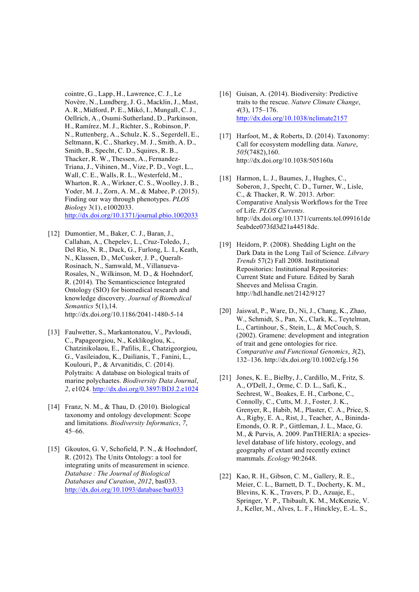cointre, G., Lapp, H., Lawrence, C. J., Le Novère, N., Lundberg, J. G., Macklin, J., Mast, A. R., Midford, P. E., Mikó, I., Mungall, C. J., Oellrich, A., Osumi-Sutherland, D., Parkinson, H., Ramírez, M. J., Richter, S., Robinson, P. N., Ruttenberg, A., Schulz, K. S., Segerdell, E., Seltmann, K. C., Sharkey, M. J., Smith, A. D., Smith, B., Specht, C. D., Squires, R. B., Thacker, R. W., Thessen, A., Fernandez-Triana, J., Vihinen, M., Vize, P. D., Vogt, L., Wall, C. E., Walls, R. L., Westerfeld, M., Wharton, R. A., Wirkner, C. S., Woolley, J. B., Yoder, M. J., Zorn, A. M., & Mabee, P. (2015). Finding our way through phenotypes. *PLOS Biology* 3(1), e1002033. http://dx.doi.org/10.1371/journal.pbio.1002033

- [12] Dumontier, M., Baker, C. J., Baran, J., Callahan, A., Chepelev, L., Cruz-Toledo, J., Del Rio, N. R., Duck, G., Furlong, L. I., Keath, N., Klassen, D., McCusker, J. P., Queralt-Rosinach, N., Samwald, M., Villanueva-Rosales, N., Wilkinson, M. D., & Hoehndorf, R. (2014). The Semanticscience Integrated Ontology (SIO) for biomedical research and knowledge discovery. *Journal of Biomedical Semantics* 5(1),14. http://dx.doi.org/10.1186/2041-1480-5-14
- [13] Faulwetter, S., Markantonatou, V., Pavloudi, C., Papageorgiou, N., Keklikoglou, K., Chatzinikolaou, E., Pafilis, E., Chatzigeorgiou, G., Vasileiadou, K., Dailianis, T., Fanini, L., Koulouri, P., & Arvanitidis, C. (2014). Polytraits: A database on biological traits of marine polychaetes. *Biodiversity Data Journal*, *2*, e1024. http://dx.doi.org/0.3897/BDJ.2.e1024
- [14] Franz, N. M., & Thau, D. (2010). Biological taxonomy and ontology development: Scope and limitations. *Biodiversity Informatics*, *7*, 45–66.
- [15] Gkoutos, G. V, Schofield, P. N., & Hoehndorf, R. (2012). The Units Ontology: a tool for integrating units of measurement in science. *Database : The Journal of Biological Databases and Curation*, *2012*, bas033. http://dx.doi.org/10.1093/database/bas033
- [16] Guisan, A. (2014). Biodiversity: Predictive traits to the rescue. *Nature Climate Change*, *4*(3), 175–176. http://dx.doi.org/10.1038/nclimate2157
- [17] Harfoot, M., & Roberts, D. (2014). Taxonomy: Call for ecosystem modelling data. *Nature*, *505*(7482),160. http://dx.doi.org/10.1038/505160a
- [18] Harmon, L. J., Baumes, J., Hughes, C., Soberon, J., Specht, C. D., Turner, W., Lisle, C., & Thacker, R. W. 2013. Arbor: Comparative Analysis Workflows for the Tree of Life. *PLOS Currents*. http://dx.doi.org/10.1371/currents.tol.099161de 5eabdee073fd3d21a44518dc.
- [19] Heidorn, P. (2008). Shedding Light on the Dark Data in the Long Tail of Science. *Library Trends* 57(2) Fall 2008. Institutional Repositories: Institutional Repositories: Current State and Future. Edited by Sarah Sheeves and Melissa Cragin. http://hdl.handle.net/2142/9127
- [20] Jaiswal, P., Ware, D., Ni, J., Chang, K., Zhao, W., Schmidt, S., Pan, X., Clark, K., Teytelman, L., Cartinhour, S., Stein, L., & McCouch, S. (2002). Gramene: development and integration of trait and gene ontologies for rice. *Comparative and Functional Genomics*, *3*(2), 132–136. http://dx.doi.org/10.1002/cfg.156
- [21] Jones, K. E., Bielby, J., Cardillo, M., Fritz, S. A., O'Dell, J., Orme, C. D. L., Safi, K., Sechrest, W., Boakes, E. H., Carbone, C., Connolly, C., Cutts, M. J., Foster, J. K., Grenyer, R., Habib, M., Plaster, C. A., Price, S. A., Rigby, E. A., Rist, J., Teacher, A., Bininda-Emonds, O. R. P., Gittleman, J. L., Mace, G. M., & Purvis, A. 2009. PanTHERIA: a specieslevel database of life history, ecology, and geography of extant and recently extinct mammals. *Ecology* 90:2648.
- [22] Kao, R. H., Gibson, C. M., Gallery, R. E., Meier, C. L., Barnett, D. T., Docherty, K. M., Blevins, K. K., Travers, P. D., Azuaje, E., Springer, Y. P., Thibault, K. M., McKenzie, V. J., Keller, M., Alves, L. F., Hinckley, E.-L. S.,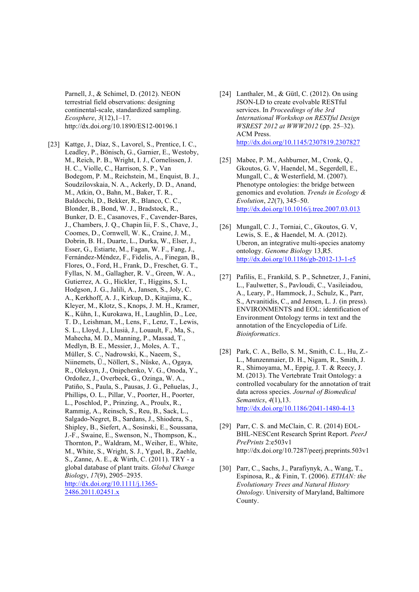Parnell, J., & Schimel, D. (2012). NEON terrestrial field observations: designing continental-scale, standardized sampling. *Ecosphere*, *3*(12),1–17. http://dx.doi.org/10.1890/ES12-00196.1

- [23] Kattge, J., Díaz, S., Lavorel, S., Prentice, I. C., Leadley, P., Bönisch, G., Garnier, E., Westoby, M., Reich, P. B., Wright, I. J., Cornelissen, J. H. C., Violle, C., Harrison, S. P., Van Bodegom, P. M., Reichstein, M., Enquist, B. J., Soudzilovskaia, N. A., Ackerly, D. D., Anand, M., Atkin, O., Bahn, M., Baker, T. R., Baldocchi, D., Bekker, R., Blanco, C. C., Blonder, B., Bond, W. J., Bradstock, R., Bunker, D. E., Casanoves, F., Cavender-Bares, J., Chambers, J. Q., Chapin Iii, F. S., Chave, J., Coomes, D., Cornwell, W. K., Craine, J. M., Dobrin, B. H., Duarte, L., Durka, W., Elser, J., Esser, G., Estiarte, M., Fagan, W. F., Fang, J., Fernández-Méndez, F., Fidelis, A., Finegan, B., Flores, O., Ford, H., Frank, D., Freschet, G. T., Fyllas, N. M., Gallagher, R. V., Green, W. A., Gutierrez, A. G., Hickler, T., Higgins, S. I., Hodgson, J. G., Jalili, A., Jansen, S., Joly, C. A., Kerkhoff, A. J., Kirkup, D., Kitajima, K., Kleyer, M., Klotz, S., Knops, J. M. H., Kramer, K., Kühn, I., Kurokawa, H., Laughlin, D., Lee, T. D., Leishman, M., Lens, F., Lenz, T., Lewis, S. L., Lloyd, J., Llusià, J., Louault, F., Ma, S., Mahecha, M. D., Manning, P., Massad, T., Medlyn, B. E., Messier, J., Moles, A. T., Müller, S. C., Nadrowski, K., Naeem, S., Niinemets, Ü., Nöllert, S., Nüske, A., Ogaya, R., Oleksyn, J., Onipchenko, V. G., Onoda, Y., Ordoñez, J., Overbeck, G., Ozinga, W. A., Patiño, S., Paula, S., Pausas, J. G., Peñuelas, J., Phillips, O. L., Pillar, V., Poorter, H., Poorter, L., Poschlod, P., Prinzing, A., Proulx, R., Rammig, A., Reinsch, S., Reu, B., Sack, L., Salgado-Negret, B., Sardans, J., Shiodera, S., Shipley, B., Siefert, A., Sosinski, E., Soussana, J.-F., Swaine, E., Swenson, N., Thompson, K., Thornton, P., Waldram, M., Weiher, E., White, M., White, S., Wright, S. J., Yguel, B., Zaehle, S., Zanne, A. E., & Wirth, C. (2011). TRY - a global database of plant traits. *Global Change Biology*, *17*(9), 2905–2935. http://dx.doi.org/10.1111/j.1365- 2486.2011.02451.x
- [24] Lanthaler, M., & Gütl, C. (2012). On using JSON-LD to create evolvable RESTful services. In *Proceedings of the 3rd International Workshop on RESTful Design WSREST 2012 at WWW2012* (pp. 25–32). ACM Press. http://dx.doi.org/10.1145/2307819.2307827
- [25] Mabee, P. M., Ashburner, M., Cronk, Q., Gkoutos, G. V, Haendel, M., Segerdell, E., Mungall, C., & Westerfield, M. (2007). Phenotype ontologies: the bridge between genomics and evolution. *Trends in Ecology & Evolution*, *22*(7), 345–50. http://dx.doi.org/10.1016/j.tree.2007.03.013
- [26] Mungall, C. J., Torniai, C., Gkoutos, G. V, Lewis, S. E., & Haendel, M. A. (2012). Uberon, an integrative multi-species anatomy ontology. *Genome Biology* 13,R5. http://dx.doi.org/10.1186/gb-2012-13-1-r5
- [27] Pafilis, E., Frankild, S. P., Schnetzer, J., Fanini, L., Faulwetter, S., Pavloudi, C., Vasileiadou, A., Leary, P., Hammock, J., Schulz, K., Parr, S., Arvanitidis, C., and Jensen, L. J. (in press). ENVIRONMENTS and EOL: identification of Environment Ontology terms in text and the annotation of the Encyclopedia of Life. *Bioinformatics*.
- [28] Park, C. A., Bello, S. M., Smith, C. L., Hu, Z.- L., Munzenmaier, D. H., Nigam, R., Smith, J. R., Shimoyama, M., Eppig, J. T. & Reecy, J. M. (2013). The Vertebrate Trait Ontology: a controlled vocabulary for the annotation of trait data across species. *Journal of Biomedical Semantics*, *4*(1),13. http://dx.doi.org/10.1186/2041-1480-4-13
- [29] Parr, C. S. and McClain, C. R. (2014) EOL-BHL-NESCent Research Sprint Report. *PeerJ PrePrints* 2:e503v1 http://dx.doi.org/10.7287/peerj.preprints.503v1
- [30] Parr, C., Sachs, J., Parafiynyk, A., Wang, T., Espinosa, R., & Finin, T. (2006). *ETHAN: the Evolutionary Trees and Natural History Ontology*. University of Maryland, Baltimore County.